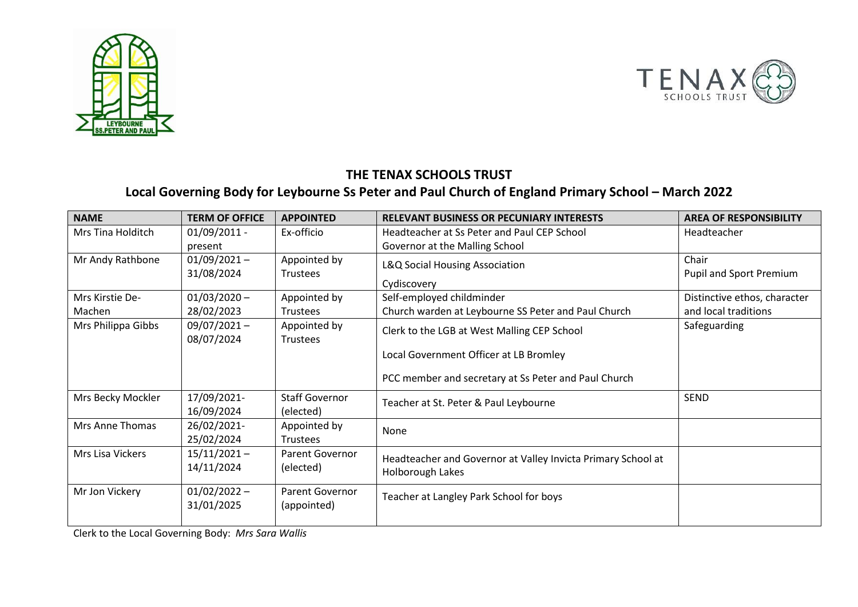



## **THE TENAX SCHOOLS TRUST**

## **Local Governing Body for Leybourne Ss Peter and Paul Church of England Primary School – March 2022**

| <b>NAME</b>        | <b>TERM OF OFFICE</b> | <b>APPOINTED</b>         | <b>RELEVANT BUSINESS OR PECUNIARY INTERESTS</b>                                  | <b>AREA OF RESPONSIBILITY</b>  |
|--------------------|-----------------------|--------------------------|----------------------------------------------------------------------------------|--------------------------------|
| Mrs Tina Holditch  | $01/09/2011 -$        | Ex-officio               | Headteacher at Ss Peter and Paul CEP School                                      | Headteacher                    |
|                    | present               |                          | Governor at the Malling School                                                   |                                |
| Mr Andy Rathbone   | $01/09/2021 -$        | Appointed by<br>Trustees | L&Q Social Housing Association                                                   | Chair                          |
|                    | 31/08/2024            |                          |                                                                                  | <b>Pupil and Sport Premium</b> |
|                    |                       |                          | Cydiscovery                                                                      |                                |
| Mrs Kirstie De-    | $01/03/2020 -$        | Appointed by             | Self-employed childminder                                                        | Distinctive ethos, character   |
| Machen             | 28/02/2023            | Trustees                 | Church warden at Leybourne SS Peter and Paul Church                              | and local traditions           |
| Mrs Philippa Gibbs | $09/07/2021 -$        | Appointed by             | Clerk to the LGB at West Malling CEP School                                      | Safeguarding                   |
|                    | 08/07/2024            | <b>Trustees</b>          |                                                                                  |                                |
|                    |                       |                          | Local Government Officer at LB Bromley                                           |                                |
|                    |                       |                          | PCC member and secretary at Ss Peter and Paul Church                             |                                |
| Mrs Becky Mockler  | 17/09/2021-           | <b>Staff Governor</b>    | Teacher at St. Peter & Paul Leybourne                                            | <b>SEND</b>                    |
|                    | 16/09/2024            | (elected)                |                                                                                  |                                |
| Mrs Anne Thomas    | 26/02/2021-           | Appointed by             | None                                                                             |                                |
|                    | 25/02/2024            | Trustees                 |                                                                                  |                                |
| Mrs Lisa Vickers   | $15/11/2021 -$        | Parent Governor          | Headteacher and Governor at Valley Invicta Primary School at<br>Holborough Lakes |                                |
|                    | 14/11/2024            | (elected)                |                                                                                  |                                |
|                    |                       |                          |                                                                                  |                                |
| Mr Jon Vickery     | $01/02/2022 -$        | <b>Parent Governor</b>   | Teacher at Langley Park School for boys                                          |                                |
|                    | 31/01/2025            | (appointed)              |                                                                                  |                                |
|                    |                       |                          |                                                                                  |                                |

Clerk to the Local Governing Body: *Mrs Sara Wallis*